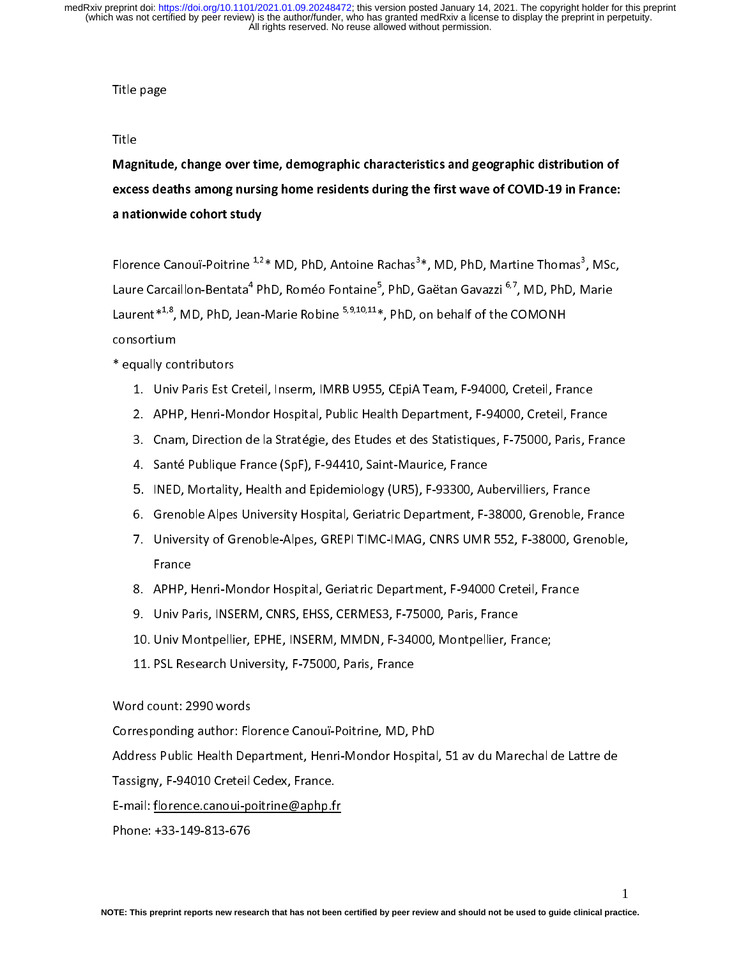# $\frac{1}{2}$

# $\overline{1}$

.....<br>Magnitude, change over time, demographic characteristics and geographic distribution of excess deaths among nursing home residents during the first wave of COVID-19 in France: a nationwide cohort study

Florence Canouï-Poitrine \*<sup>2\*</sup> MD, PhD, Antoine Rachas<sup>3\*</sup>, MD, PhD, Martine Thomas<sup>3</sup>, MSc,<br>Laure Carcaillon-Bentata<sup>4</sup> PhD, Roméo Fontaine<sup>5</sup>, PhD, Gaëtan Gavazzi <sup>6,7</sup>, MD, PhD, Marie Laure Carcaillon-Bentata<sup>+</sup> PhD, Roméo Fontaine°, PhD, Gaëtan Gavazzi °<sup>;</sup>', MD, PhD, Marie<br>Laurent\*<sup>1,8</sup>, MD, PhD, Jean-Marie Robine <sup>5,9,10,11</sup>\*, PhD, on behalf of the COMONH Laurent\*1,°, MD, PhD, Jean-Marie Robine 3,9,18,11\*, PhD, on behalf of the COMONH<br>consortium consortium<br>\* equally contributors

- - 1. Univ Paris Est Creteil, Inserm, IMRB U955, CEpiA Team, F-94000, Creteil, France
	- 2. APHP, Henri-Mondor Hospital, Public Health Department, F-94000, Creteil, France
	- 3. Cnam, Direction de la Stratégie, des Etudes et des Statistiques, F-75000, Paris, France
	- 4. Santé Publique France (SpF), F-94410, Saint-Maurice, France
	- 4. Santé Publique France (Sp. 1784–1795) saint-Maurice, France<br>5. INED, Mortality, Health and Epidemiology (UR5), F-93300, Au 5.
	- 6. Grenoble Alpes University Hospital, Geriatric Department, F-38000, Grenoble, France
	- 7. University of Grenoble-Alpes, GREPI TIMC-IMAG, CNRS UMR 552, F-38000, Grenoble, 7. University of Greenoble-Alpes, Greenoble-Alpes, Greenoble-Alpes, Greenoble, Greenoble, Greenoble, Greenoble, Greenoble, Greenoble, Greenoble, Greenoble, Greenoble, Greenoble, Greenoble, Greenoble, Greenoble, Greenoble, France<br>8. APHP, Henri-Mondor Hospital, Geriatric Department, F-94000 Creteil, France
	-
	- 9. Univ Paris, INSERM, CNRS, EHSS, CERMES3, F-75000, Paris, France
	- 10. Univ Montpellier, EPHE, INSERM, MMDN, F-34000, Montpellier, France;
	- 11. PSL Research University, F-75000, Paris, France

## $\frac{1}{2}$ . Ps.  $\frac{1}{2}$ . Ps.  $\frac{1}{2}$ . Ps.  $\frac{1}{2}$ . Ps.  $\frac{1}{2}$ . Ps.  $\frac{1}{2}$ . Ps.  $\frac{1}{2}$ . Ps.  $\frac{1}{2}$ . Ps.  $\frac{1}{2}$ . Ps.  $\frac{1}{2}$ . Ps.  $\frac{1}{2}$ . Ps.  $\frac{1}{2}$ . Ps.  $\frac{1}{2}$ . Ps.  $\frac{1}{2}$ . Ps.  $\frac{1}{2}$ .  $\frac{1}{2}$

Word count: 2990 words<br>Corresponding author: Florence Canouï-Poitrine, MD, PhD

Address Public Health Department, Henri-Mondor Hospital, 51 av du Marechal de Lattre de

Tassigny, F-94010 Creteil Cedex, France.

 $E$ -mail: florence.canoui-poitrine@aphp.fr

Phone: +33-149-813-676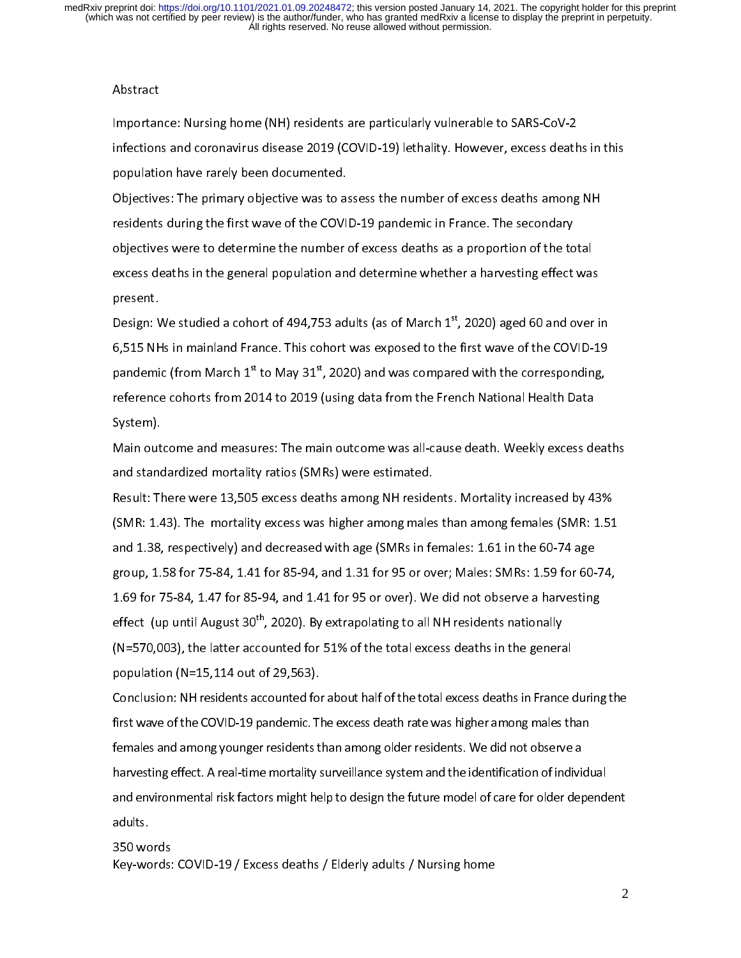Abstract<br>Importance: Nursing home (NH) residents are particularly vulnerable to SARS-CoV-2 l<br>i infections and coronavirus disease 2019 (COVID-19) lethality. However, excess deaths in this population have rarely been documented.

Objectives: The primary objective was to assess the number of excess deaths among NH residents during the first wave of the COVID-19 pandemic in France. The secondary objectives were to determine the number of excess deaths as a proportion of the total excess deaths in the general population and determine whether a harvesting effect was excess deaths in the general population and determine whether a harvesting effect was<br>present. present.<br>Design: We studied a cohort of 494,753 adults (as of March 1<sup>st</sup>, 2020) aged 60 and over in

6.515 NHs in mainland France. This cohort was exposed to the first wave of the COVID-19 pandemic (from March  $1^{st}$  to May 31 $^{st}$ , 2020) and was compared with the corresponding, reference cohorts from 2014 to 2019 (using data from the French National Health Data reference cohorts from 2014 to 2014 to 2019 (using data from the French National Health Data<br>System). System).<br>Main outcome and measures: The main outcome was all-cause death. Weekly excess deaths

and standardized mortality ratios (SMRs) were estimated.

Result: There were 13,505 excess deaths among NH residents. Mortality increased by 43% (SMR: 1.43). The mortality excess was higher among males than among females (SMR: 1.51) and 1.38, respectively) and decreased with age (SMRs in females: 1.61 in the 60-74 age group, 1.58 for 75-84, 1.41 for 85-94, and 1.31 for 95 or over; Males: SMRs: 1.59 for 60-74, 1.69 for 75-84, 1.47 for 85-94, and 1.41 for 95 or over). We did not observe a harvesting effect (up until August 30<sup>th</sup>, 2020). By extrapolating to all NH residents nationally  $(N=570,003)$ , the latter accounted for 51% of the total excess deaths in the general population (N=15,114 out of 29,563).

Conclusion: NH residents accounted for about half of the total excess deaths in France during the first wave of the COVID-19 pandemic. The excess death rate was higher among males than females and among younger residents than among older residents. We did not observe a harvesting effect. A real-time mortality surveillance system and the identification of individual and environmental risk factors might help to design the future model of care for older dependent and environmental risk factors might help to design the future model of care for older dependent.<br>adults. adults.<br>350 words

Key-words: COVID-19 / Excess deaths / Elderly adults / Nursing home Key-words: COVID-19 / Excess deaths / Elderly adults / Nursing home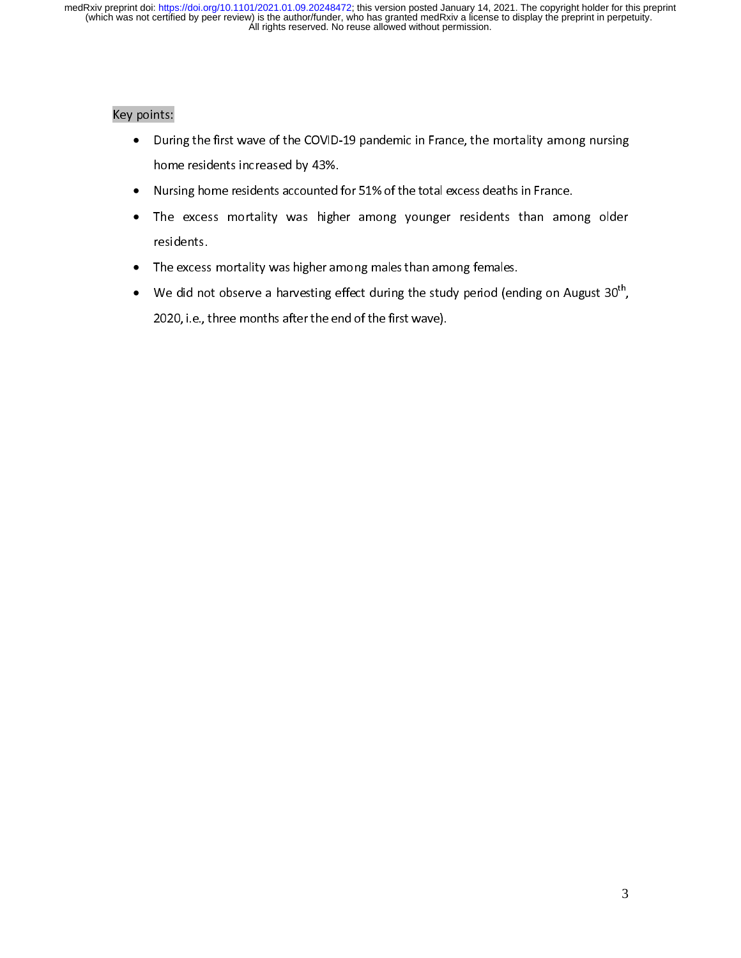# $\overline{a}$

- e Duri • home residents increased by 43%.
	- Nursing home residents accounted for 51% of the total excess deaths in France.  $\bullet$
	- Nursing home residents accounts account to the total encounted for an interesting for the total excess mortality was higher among younger residents than amo •  $T$  is the excess mortality was higher among  $T$  and among ounger  $T$  among ounger  $T$  and anong ounger  $T$  among ounger  $T$  and  $T$  and  $T$  and  $T$  and  $T$  and  $T$  and  $T$  and  $T$  and  $T$  and  $T$  and  $T$  and  $T$  and  $T$
	- residents.<br>The excess •
	- The excess mortality was higher among males than anong females. • We did not observe a harvesting effect during the study period (ending on August 30<sup>th</sup>,<br>2020, i.e., three months after the end of the first wave). 2020, i.e., three months after the end of the first wave).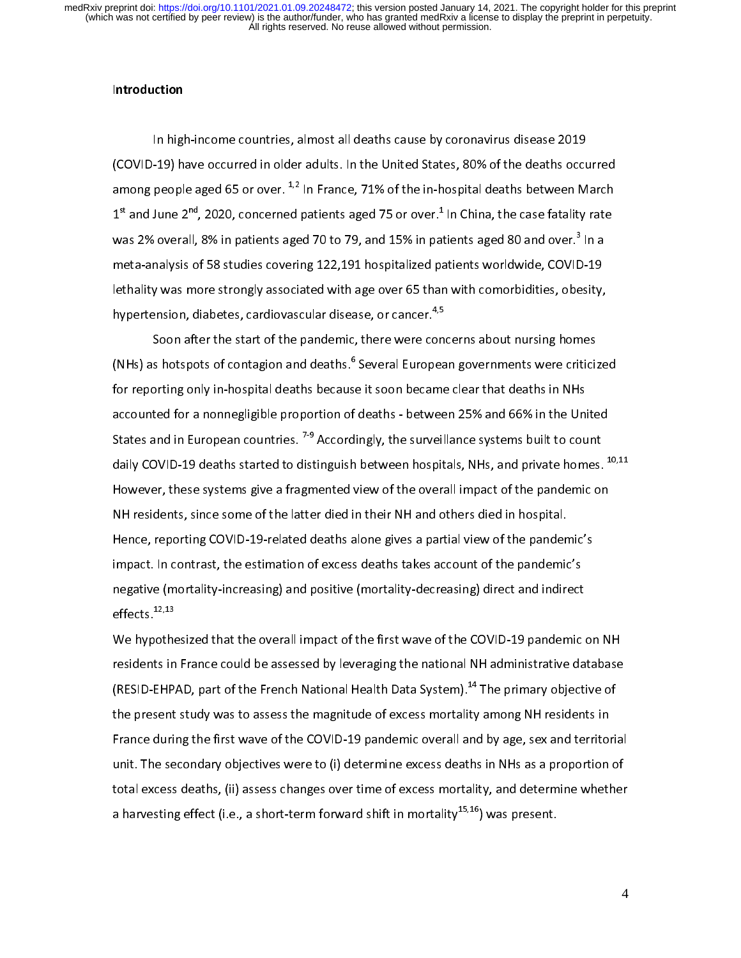# Introduction

In high-income countries, almost all deaths cause by coronavirus disease 2019 among people aged 65 or over.  $^{1,2}$  In France, 71% of the in-hospital deaths between March  $1<sup>st</sup>$  and June 2<sup>nd</sup>, 2020, concerned patients aged 75 or over.<sup>1</sup> In China, the case fatality rate 1st and June 2", 2020, concerned patients aged 75 or over.\* In China, the case fatality rate<br>was 2% overall, 8% in patients aged 70 to 79, and 15% in patients aged 80 and over.<sup>3</sup> In a was 2% overall, 8% in patients aged 70 to 79, and 15% in patients aged 80 and over." In a<br>meta-analysis of 58 studies covering 122,191 hospitalized patients worldwide, COVID-19 lethality was more strongly associated with age over 65 than with comorbidities, obesity, hypertension, diabetes, cardiovascular disease, or cancer.<sup>4,5</sup>

Soon after the start of the pandemic, there were concerns about nursing homes (NHs) as hotspots of contagion and deaths.<sup>6</sup> Several European governments were criticized (NHs) as hotspots of contagion and deaths.° Several European governments were criticized<br>for reporting only in-hospital deaths because it soon became clear that deaths in NHs accounted for a nonnegligible proportion of deaths - between 25% and 66% in the United States and in European countries.  $7-9$  Accordingly, the surveillance systems built to count daily COVID-19 deaths started to distinguish between hospitals, NHs, and private homes. <sup>10,11</sup> However, these systems give a fragmented view of the overall impact of the pandemic on NH residents, since some of the latter died in their NH and others died in hospital. Hence, reporting COVID-19-related deaths alone gives a partial view of the pandemic's impact. In contrast, the estimation of excess deaths takes account of the pandemic's negative (mortality-increasing) and positive (mortality-decreasing) direct and indirect<br>effects.<sup>12,13</sup> effects.<sup>12,13</sup>

We hypothesized that the overall impact of the first wave of the COVID-19 pandemic on NH residents in France could be assessed by leveraging the national NH administrative database (RESID-EHPAD, part of the French National Health Data System).<sup>14</sup> The primary objective of the present study was to assess the magnitude of excess mortality among NH residents in France during the first wave of the COVID-19 pandemic overall and by age, sex and territorial unit. The secondary objectives were to (i) determine excess deaths in NHs as a proportion of total excess deaths, (ii) assess changes over time of excess mortality, and determine whether a harvesting effect (i.e., a short-term forward shift in mortality<sup>15,16</sup>) was present. a harvesting effect (i.e., a short-term forward shift in mortality<sup>15,16</sup>) was present.<br>**.**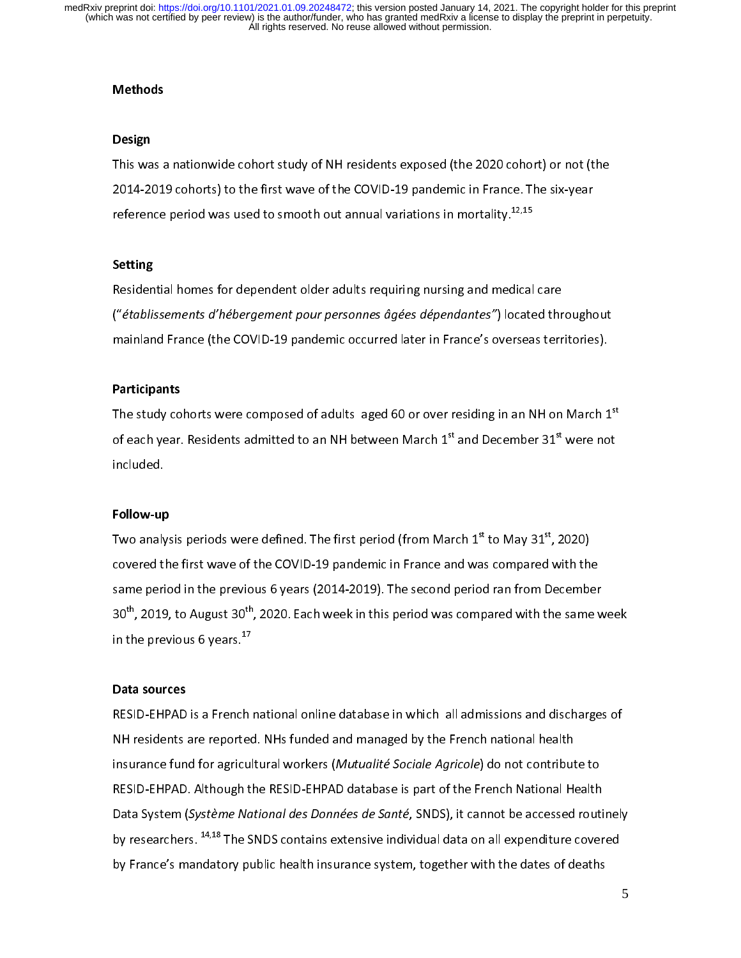# Methods

#### Design

This was a nationwide cohort study of NH residents exposed (the 2020 cohort) or not (the 2021-2022 contempts was made of the COVID-19 pandemic in France. The six-year-<br>reference period was used to smooth out annual variations in mortality.<sup>12,15</sup> reference period was used to smooth out annual variations in mortality.12,15

### $\ddot{\phantom{0}}$ Setting

Residential homes for dependent older adults requiring nursing and medical care<br>("établissements d'hébergement pour personnes âgées dépendantes") located throughout mainland France (the COVID-19 pandemic occurred later in France's overseas territories). mainland France (the COVID-19 pandemic occurred later in France's overseas territories).

#### Participants

The study cohorts were composed of adults aged 60 or over residing in an NH on March 1\*<br>of each year. Residents admitted to an NH between March 1<sup>st</sup> and December 31<sup>st</sup> were not of each year. Residents admitted to an NH between March 1st and December 31st were not<br>included.<br>.

### $\overline{a}$ Follow-up

Two analysis periods were defined. The first period (from March  $1^{st}$  to May 3 $1^{st}$ , 2020)<br>covered the first wave of the COVID-19 pandemic in France and was compared with the same period in the previous 6 years (2014-2019). The second period ran from December same period in the previous 6 years (2021-2019). The second period was compared with the same w 30"', 2019, to August 30"', 2020. Each week in this period was compared with the same week<br>in the previous 6 years.<sup>17</sup> in the previous 6 years. $^{17}$ 

#### Data sources

RESID-EHPAD is a French national online database in which all admissions and discharges of<br>NH residents are reported. NHs funded and managed by the French national health insurance fund for agricultural workers (Mutualité Sociale Agricole) do not contribute to RESID-EHPAD. Although the RESID-EHPAD database is part of the French National Health Data System (Système National des Données de Santé, SNDS), it cannot be accessed routinely by researchers.  $^{14,18}$  The SNDS contains extensive individual data on all expenditure covered by France's mandatory public health insurance system, together with the dates of deaths by France's mandatory public health insurance system, together with the dates of deaths of deaths of deaths of deaths of deaths of deaths  $\mathcal{L}$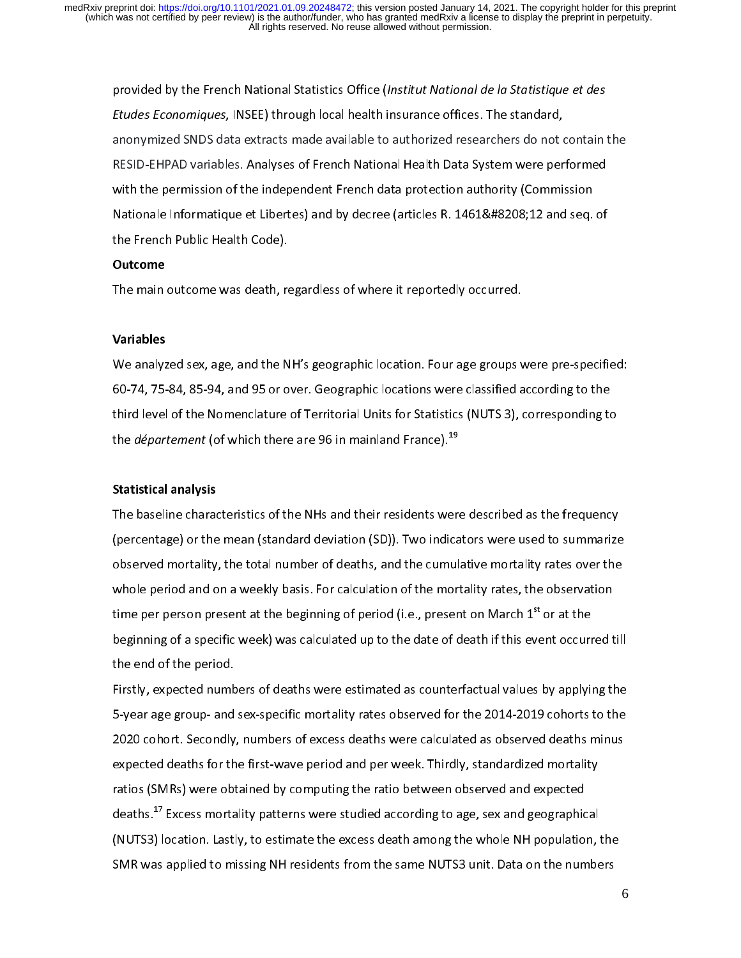provided by the French National Statistics Office (Institut National de la Statistique et des<br>Etudes Economiques, INSEE) through local health insurance offices. The standard, anonymized SNDS data extracts made available to authorized researchers do not contain the RESID-EHPAD variables. Analyses of French National Health Data System were performed with the permission of the independent French data protection authority (Commission Nationale Informatique et Libertes) and by decree (articles R. 1461‐12 and seq. of Nationale Informatique et Liberty and by decree (articles R. 1461–1222) 21 and seq. of<br>the French Public Health Code). the French Public Health Code).<br>Outcome

#### Outcome

 $T_{\rm eff}$  and  $T_{\rm eff}$  regardless of where it reported  $\mu$  and  $\mu$ 

### $\overline{\phantom{0}}$ Variables

We analyzed sex, age, and the NH's geographic location. Four age groups were pre-specified:<br>60-74, 75-84, 85-94, and 95 or over. Geographic locations were classified according to the third level of the Nomenclature of Territorial Units for Statistics (NUTS 3), corresponding to third level of the Nomenclature of Territorial Units for Statistics (NUTS 3), corresponding to<br>the *département* (of which there are 96 in mainland France).<sup>19</sup> the *département* (of which there are 96 in mainland France).<sup>19</sup><br>Intervention of the department of the department of the department of the department of the department of the de<br>Intervention of the department of the depar

### $\ddot{\phantom{0}}$ Statistical analysis

The baseline characteristics of the NHs and their residents were described as the frequency<br>(percentage) or the mean (standard deviation (SD)). Two indicators were used to summarize observed mortality, the total number of deaths, and the cumulative mortality rates over the whole period and on a weekly basis. For calculation of the mortality rates, the observation time per person present at the beginning of period (i.e., present on March  $1<sup>st</sup>$  or at the beginning of a specific week) was calculated up to the date of death if this event occurred till  $\begin{aligned} \mathbf{b} & \mathbf{b} & \mathbf{b} & \mathbf{b} & \mathbf{c} & \mathbf{c} & \mathbf{c} & \mathbf{c} & \mathbf{c} & \mathbf{c} & \mathbf{c} & \mathbf{c} & \mathbf{c} & \mathbf{c} & \mathbf{c} & \mathbf{c} & \mathbf{c} & \mathbf{c} & \mathbf{c} & \mathbf{c} & \mathbf{c} & \mathbf{c} & \mathbf{c} & \mathbf{c} &$ the end of the period.<br>Firstly, expected numbers of deaths were estimated as counterfactual values by applying the

5-year age group- and sex-specific mortality rates observed for the 2014-2019 cohorts to the 2020 cohort. Secondly, numbers of excess deaths were calculated as observed deaths minus expected deaths for the first-wave period and per week. Thirdly, standardized mortality ratios (SMRs) were obtained by computing the ratio between observed and expected deaths.<sup>17</sup> Excess mortality patterns were studied according to age, sex and geographical (NUTS3) location. Lastly, to estimate the excess death among the whole NH population, the SMR was applied to missing NH residents from the same NUTS3 unit. Data on the numbers SMR was applied to missing NH residents from the same NUTS3 unit. Data on the numbers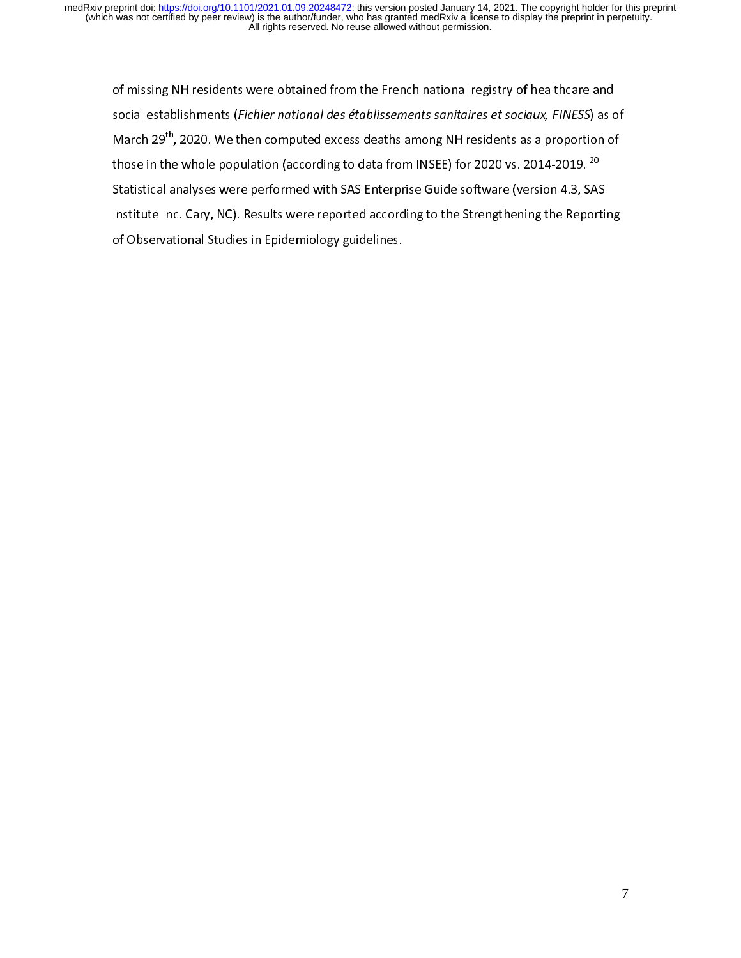of missing NH residents were obtained from the French national registry of healthcare and<br>social establishments (Fichier national des établissements sanitaires et sociaux, FINESS) as of March 29<sup>th</sup>, 2020. We then computed excess deaths among NH residents as a proportion of those in the whole population (according to data from INSEE) for 2020 vs. 2014-2019.  $^{20}$ Statistical analyses were performed with SAS Enterprise Guide software (version 4.3, SAS Institute Inc. Cary, NC). Results were reported according to the Strengthening the Reporting of Observational Studies in Epidemiology guidelines. of Observational Studies in Epidemiology guidelines.<br>The Studies in Epidemiology guidelines.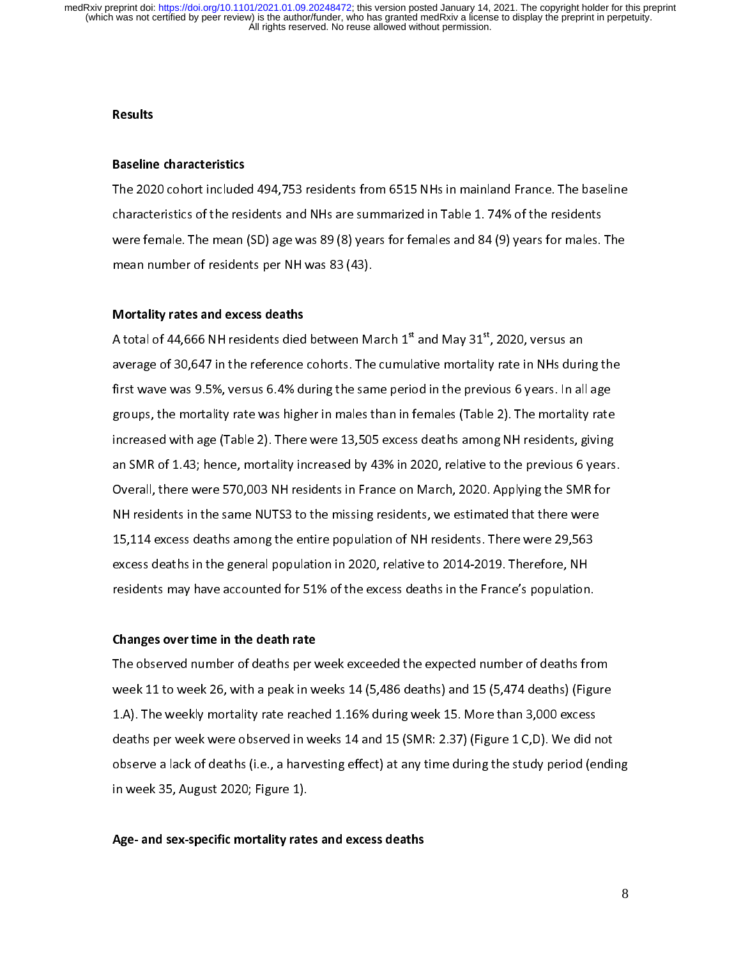## $\overline{a}$ **Results**

### $\overline{a}$ Baseline characteristics

The 2020 cohort included 494,753 residents from 6515 NHs in mainland France. The baseline were female. The mean (SD) age was 89 (8) years for females and 84 (9) years for males. The mean number of residents per NH was 83 (43).  $\sum_{i=1}^{\infty}$ 

### $\overline{ }$ Mortality rates and excess deaths

A total of 44,666 NH residents died between March  $1^{st}$  and May 31 $^{st}$ , 2020, versus an<br>average of 30,647 in the reference cohorts. The cumulative mortality rate in NHs during the first wave was 9.5%, versus 6.4% during the same period in the previous 6 years. In all age groups, the mortality rate was higher in males than in females (Table 2). The mortality rate increased with age (Table 2). There were 13,505 excess deaths among NH residents, giving an SMR of 1.43; hence, mortality increased by 43% in 2020, relative to the previous 6 years. Overall, there were 570,003 NH residents in France on March, 2020. Applying the SMR for NH residents in the same NUTS3 to the missing residents, we estimated that there were 15,114 excess deaths among the entire population of NH residents. There were 29,563 excess deaths in the general population in 2020, relative to 2014-2019. Therefore, NH residents may have accounted for 51% of the excess deaths in the France's population. residents may have accounted for 51% of the excess deaths in the France's population.

### $\overline{\phantom{a}}$ Changes over time in the death rate

The observed number of deaths per week exceeded the expected number of deaths from 1.A). The weekly mortality rate reached 1.16% during week 15. More than 3,000 excess deaths per week were observed in weeks 14 and 15 (SMR: 2.37) (Figure 1 C,D). We did not observe a lack of deaths (i.e., a harvesting effect) at any time during the study period (ending in week 35, August 2020; Figure 1).  $\ddotsc$  35, August 2020; Figure 1, August 2020; Figure 1, August 2020; Figure 1, August 2020; Figure 1, August 2020; Figure 1, August 2020; Figure 1, August 2020; Figure 1, August 2020; Figure 1, August 2020; Figure 1, Aug

### $\overline{\phantom{a}}$ Age- and sex-specific mortality rates and excess deaths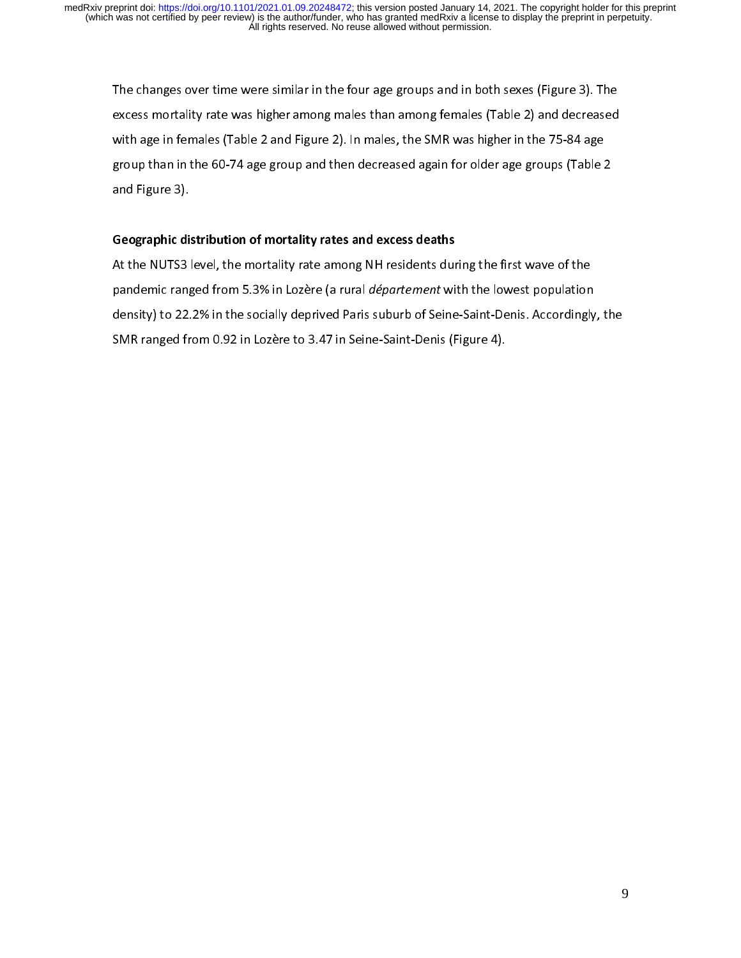The changes over time were similar in the four age groups and in both sexes (Figure 3). The<br>excess mortality rate was higher among males than among females (Table 2) and decreased with age in females (Table 2 and Figure 2). In males, the SMR was higher in the 75-84 age group than in the 60-74 age group and then decreased again for older age groups (Table 2<br>and Figure 3). and Figure 3).<br>and Figure 3).  $\frac{1}{2}$ 

### $\overline{\phantom{a}}$ Geographic distribution of mortality rates and excess deaths

At the NUTS3 level, the mortality rate among NH residents during the first wave of the<br>pandemic ranged from 5.3% in Lozère (a rural *département* with the lowest population density) to 22.2% in the socially deprived Paris suburb of Seine-Saint-Denis. Accordingly, the SMR ranged from 0.92 in Lozère to 3.47 in Seine-Saint-Denis (Figure 4). SMR ranged from 0.92 in Lozère to 3.47 in Seine-Saint-Denis (Figure 4).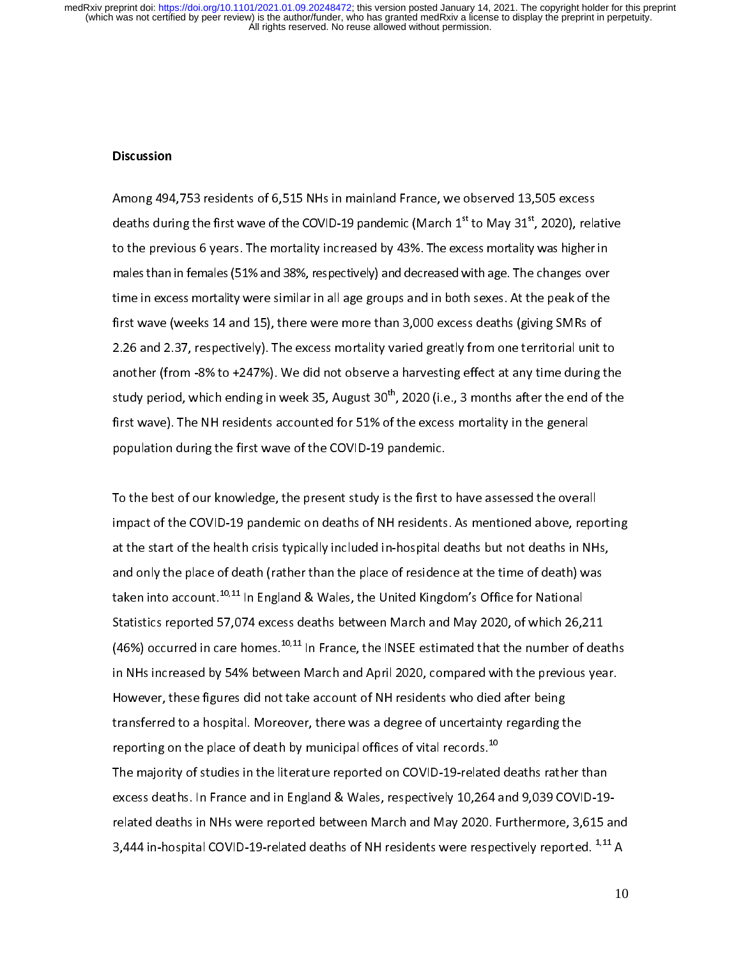#### **Discussion**

Among 494,753 residents of 6,515 NHs in mainland France, we observed 13,505 excess  $\overline{a}$ deaths during the first wave of the COVID-19 pandemic (March  $1<sup>st</sup>$  to May 31 $<sup>st</sup>$ , 2020), relative</sup> to the previous 6 years. The mortality increased by 43%. The excess mortality was higher in males than in females (51% and 38%, respectively) and decreased with age. The changes over time in excess mortality were similar in all age groups and in both sexes. At the peak of the first wave (weeks 14 and 15), there were more than 3,000 excess deaths (giving SMRs of 2.26 and 2.37, respectively). The excess mortality varied greatly from one territorial unit to another (from -8% to +247%). We did not observe a harvesting effect at any time during the study period, which ending in week 35, August  $30^{th}$ , 2020 (i.e., 3 months after the end of the first wave). The NH residents accounted for 51% of the excess mortality in the general population during the first wave of the COVID-19 pandemic. population during the first wave of the COVID-19 pandemic.

 $\overline{1}$ To the best of our knowledge, the present study is the first to have assessed the overall<br>impact of the COVID-19 pandemic on deaths of NH residents. As mentioned above, reporting at the start of the health crisis typically included in-hospital deaths but not deaths in NHs, and only the place of death (rather than the place of residence at the time of death) was taken into account.<sup>10,11</sup> In England & Wales, the United Kingdom's Office for National Statistics reported 57,074 excess deaths between March and May 2020, of which 26,211 (46%) occurred in care homes.<sup>10,11</sup> In France, the INSEE estimated that the number of deaths in NHs increased by 54% between March and April 2020, compared with the previous year. However, these figures did not take account of NH residents who died after being transferred to a hospital. Moreover, there was a degree of uncertainty regarding the reporting on the place of death by municipal offices of vital records.<sup>10</sup> The majority of studies in the literature reported on COVID-19-related deaths rather than excess deaths. In France and in England & Wales, respectively 10,264 and 9,039 COVID-19related deaths in NHs were reported between March and May 2020. Furthermore, 3,615 and related deaths of NH residents were respectively reported. <sup>1,11</sup> A<br>3,444 in-hospital COVID-19-related deaths of NH residents were respectively reported. <sup>1,11</sup> A 3,444 in-hospital COVID-19-related deaths of NH residents were respectively reported. <sup>4,44</sup> A<br>.<br>.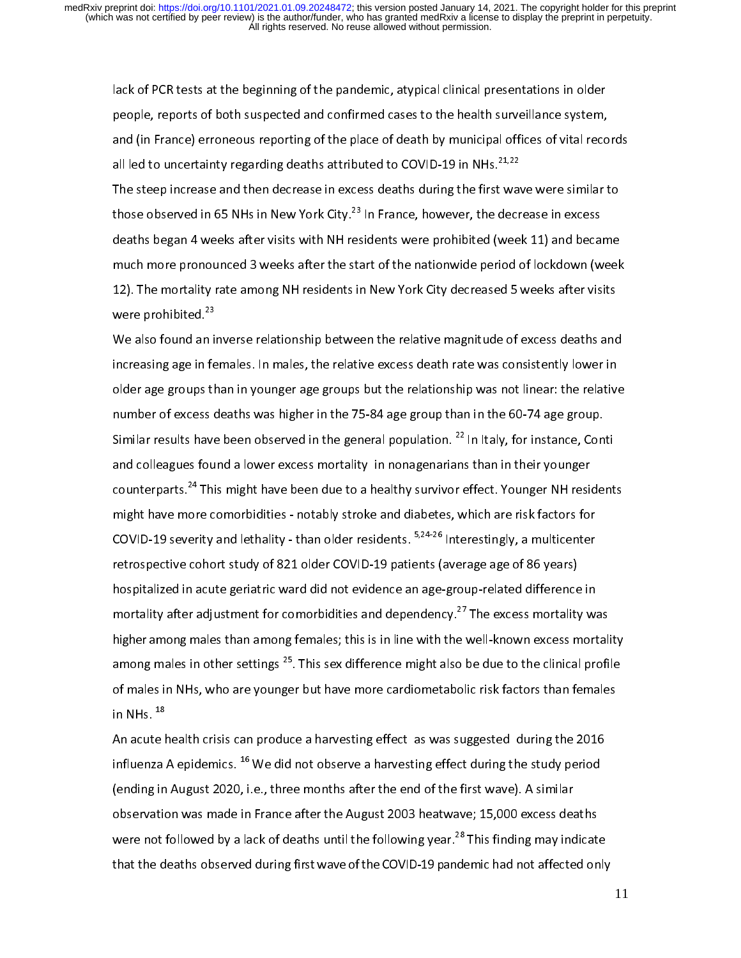lack of PCR tests at the beginning of the pandemic, atypical clinical presentations in older and (in France) erroneous reporting of the place of death by municipal offices of vital records all led to uncertainty regarding deaths attributed to COVID-19 in NHs.<sup>21,22</sup>

The steep increase and then decrease in excess deaths during the first wave were similar to those observed in 65 NHs in New York City.<sup>23</sup> In France, however, the decrease in excess deaths began 4 weeks after visits with NH residents were prohibited (week 11) and became much more pronounced 3 weeks after the start of the nationwide period of lockdown (week 12). The mortality rate among NH residents in New York City decreased 5 weeks after visits were prohibited.<sup>23</sup>  $12$ ). The mortality rate among NH residents in NH residents in New York City decreased 5 weeks after visits  $2^3$ 

We also found an inverse relationship between the relative magnitude of excess deaths and increasing age in females. In males, the relative excess death rate was consistently lower in older age groups than in younger age groups but the relationship was not linear: the relative number of excess deaths was higher in the 75-84 age group than in the 60-74 age group. Similar results have been observed in the general population.  $^{22}$  In Italy, for instance, Conti and colleagues found a lower excess mortality in nonagenarians than in their younger counterparts.<sup>24</sup> This might have been due to a healthy survivor effect. Younger NH residents might have more comorbidities - notably stroke and diabetes, which are risk factors for COVID-19 severity and lethality - than older residents.  $5,24-26$  Interestingly, a multicenter retrospective cohort study of 821 older COVID-19 patients (average age of 86 years) hospitalized in acute geriatric ward did not evidence an age-group-related difference in mortality after adjustment for comorbidities and dependency.<sup>27</sup> The excess mortality was higher among males than among females; this is in line with the well-known excess mortality among males in other settings <sup>25</sup>. This sex difference might also be due to the clinical profile of males in NHs, who are younger but have more cardiometabolic risk factors than females in NHs.  $^{18}$ of males in NHs,  $^{18}$  are younger but have more cardiometric risk factors than  $^{18}$ 

An acute health crisis can produce a harvesting effect as was suggested during the 2016 influenza A epidemics.  $^{16}$  We did not observe a harvesting effect during the study period (ending in August 2020, i.e., three months after the end of the first wave). A similar observation was made in France after the August 2003 heatwave; 15,000 excess deaths were not followed by a lack of deaths until the following year.<sup>28</sup> This finding may indicate that the deaths observed during first wave of the COVID-19 pandemic had not affected only that the deaths observed during first wave of the COVID-19 pandemic had not affected only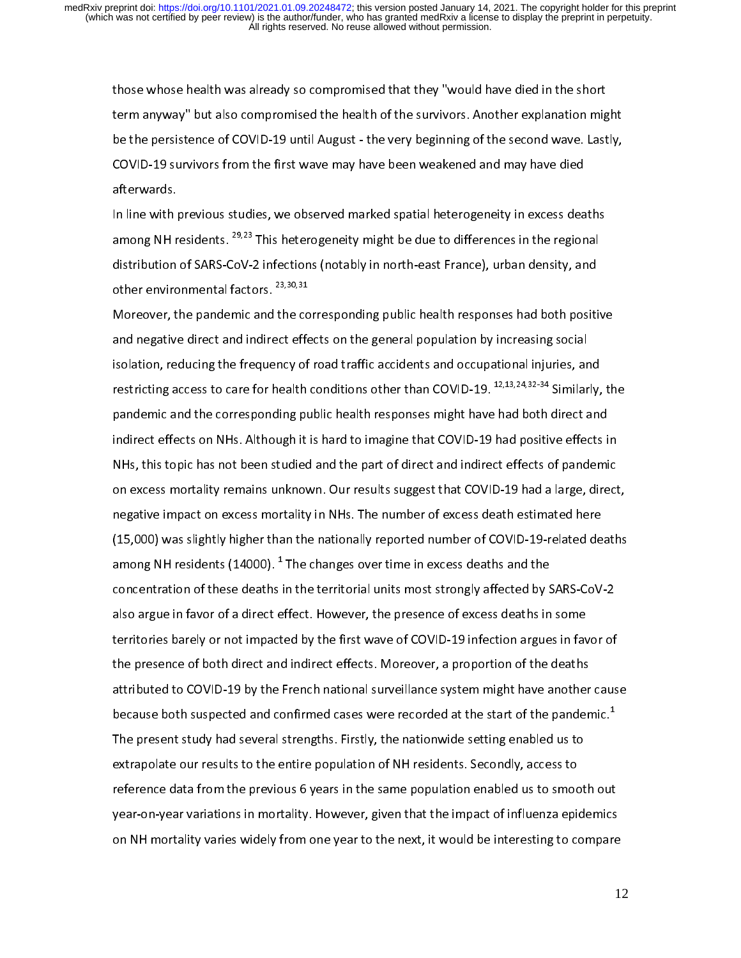those whose health was already so compromised that they "would have died in the short be the persistence of COVID-19 until August - the very beginning of the second wave. Lastly, COVID-19 survivors from the first wave may have been weakened and may have died<br>afterwards. COVID-19 survivors from the first wave may have been weakened and may have died<br>afterwards.

In line with previous studies, we observed marked spatial heterogeneity in excess deaths among NH residents.  $^{29,23}$  This heterogeneity might be due to differences in the regional distribution of SARS-CoV-2 infections (notably in north-east France), urban density, and other environmental factors.  $^{23,30,31}$ 

Moreover, the pandemic and the corresponding public health responses had both positive and negative direct and indirect effects on the general population by increasing social isolation, reducing the frequency of road traffic accidents and occupational injuries, and restricting access to care for health conditions other than COVID-19.  $^{12,13,24,32\cdot34}$  Similarly, the pandemic and the corresponding public health responses might have had both direct and indirect effects on NHs. Although it is hard to imagine that COVID-19 had positive effects in NHs, this topic has not been studied and the part of direct and indirect effects of pandemic on excess mortality remains unknown. Our results suggest that COVID-19 had a large, direct, negative impact on excess mortality in NHs. The number of excess death estimated here  $(15,000)$  was slightly higher than the nationally reported number of COVID-19-related deaths among NH residents (14000).  $^1$  The changes over time in excess deaths and the among NH residents (14000). 1 The changes over time in excess deaths and the also argue in favor of a direct effect. However, the presence of excess deaths in some territories barely or not impacted by the first wave of COVID-19 infection argues in favor of the presence of both direct and indirect effects. Moreover, a proportion of the deaths attributed to COVID-19 by the French national surveillance system might have another cause because both suspected and confirmed cases were recorded at the start of the pandemic.<sup>1</sup> The present study had several strengths. Firstly, the nationwide setting enabled us to extrapolate our results to the entire population of NH residents. Secondly, access to reference data from the previous 6 years in the same population enabled us to smooth out year-on-year variations in mortality. However, given that the impact of influenza epidemics on NH mortality varies widely from one year to the next, it would be interesting to compare  $\alpha$  . NH mortality varies with  $\alpha$  year to the next, it would be interesting to compare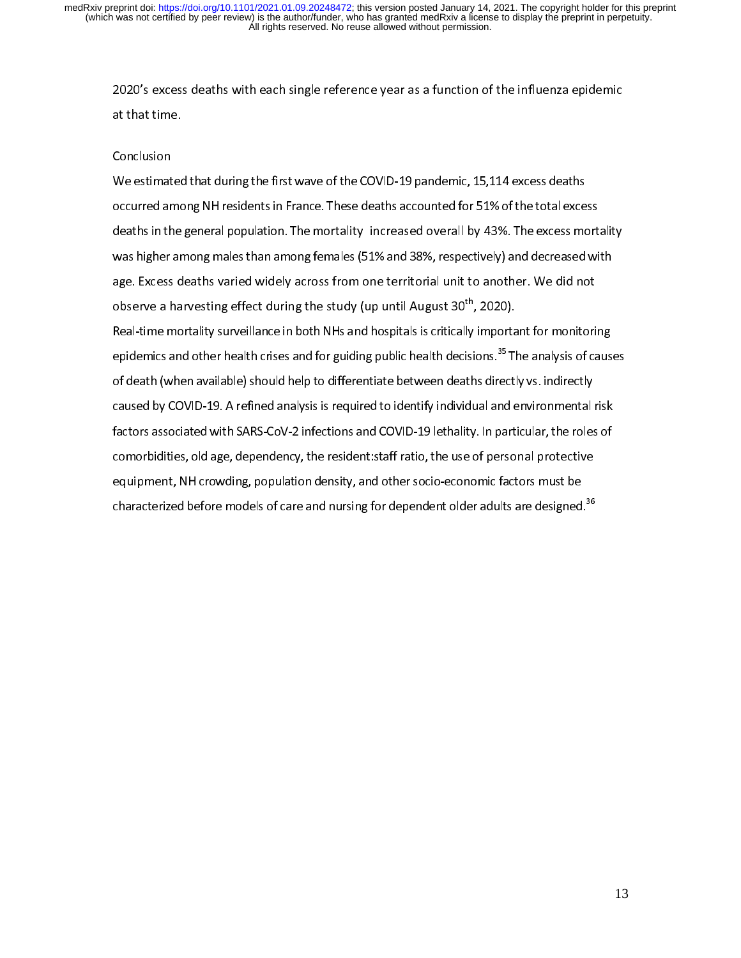2020's excess deaths with each single reference year as a function of the influenza epidemic<br>at that time.

### Conclusion  $\frac{1}{1}$

We estimated that during the first wave of the COVID-19 pandemic, 15,114 excess deaths occurred among NH residents in France. These deaths accounted for 51% of the total excess deaths in the general population. The mortality increased overall by 43%. The excess mortality was higher among males than among females (51% and 38%, respectively) and decreased with age. Excess deaths varied widely across from one territorial unit to another. We did not observe a harvesting effect during the study (up until August 30<sup>th</sup>, 2020). Real-time mortality surveillance in both NHs and hospitals is critically important for monitoring epidemics and other health crises and for guiding public health decisions.<sup>35</sup> The analysis of causes of death (when available) should help to differentiate between deaths directly vs. indirectly caused by COVID-19. A refined analysis is required to identify individual and environmental risk factors associated with SARS-CoV-2 infections and COVID-19 lethality. In particular, the roles of comorbidities, old age, dependency, the resident staff ratio, the use of personal protective equipment, NH crowding, population density, and other socio-economic factors must be equipment, NH crowding, Population and the crowding for dependent older adults are designed<br>characterized before models of care and nursing for dependent older adults are designed characterized before models of care and nursing for dependent older adults are designed.<sup>38</sup><br>-<br>-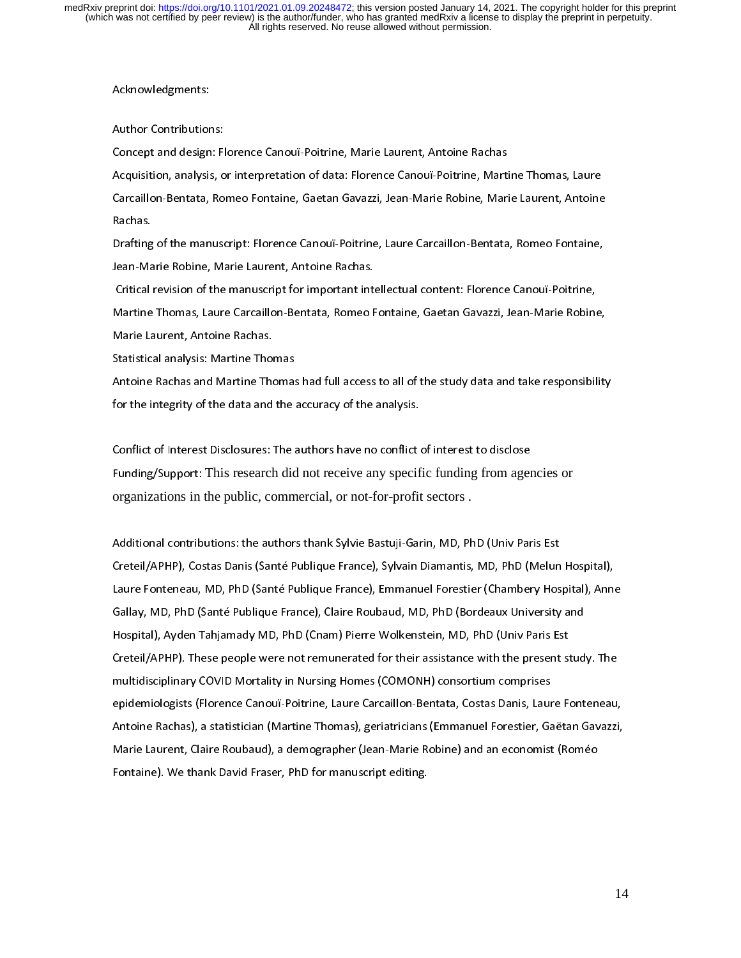#### Acknowledgments:

Author Contributions:

Concept and design: Florence Canouï-Poitrine, Marie Laurent, Antoine Rachas Acquisition, analysis, or interpretation of data: Florence Canouï-Poitrine, Martine Thomas, Laure Carcaillon-Bentata, Romeo Fontaine, Gaetan Gavazzi, Jean-Marie Robine, Marie Laurent, Antoine Rachas.

Drafting of the manuscript: Florence Canouï-Poitrine, Laure Carcaillon-Bentata, Romeo Fontaine, Jean-Marie Robine, Marie Laurent, Antoine Rachas.

 Critical revision of the manuscript for important intellectual content: Florence Canouï-Poitrine, Martine Thomas, Laure Carcaillon-Bentata, Romeo Fontaine, Gaetan Gavazzi, Jean-Marie Robine, Marie Laurent, Antoine Rachas.

Statistical analysis: Martine Thomas

Antoine Rachas and Martine Thomas had full access to all of the study data and take responsibility for the integrity of the data and the accuracy of the analysis.

Conflict of Interest Disclosures: The authors have no conflict of interest to disclose Funding/Support: This research did not receive any specific funding from agencies or organizations in the public, commercial, or not-for-profit sectors .

Additional contributions: the authors thank Sylvie Bastuji-Garin, MD, PhD (Univ Paris Est Creteil/APHP), Costas Danis (Santé Publique France), Sylvain Diamantis, MD, PhD (Melun Hospital), Laure Fonteneau, MD, PhD (Santé Publique France), Emmanuel Forestier (Chambery Hospital), Anne Gallay, MD, PhD (Santé Publique France), Claire Roubaud, MD, PhD (Bordeaux University and Hospital), Ayden Tahjamady MD, PhD (Cnam) Pierre Wolkenstein, MD, PhD (Univ Paris Est Creteil/APHP). These people were not remunerated for their assistance with the present study. The multidisciplinary COVID Mortality in Nursing Homes (COMONH) consortium comprises epidemiologists (Florence Canouï-Poitrine, Laure Carcaillon-Bentata, Costas Danis, Laure Fonteneau, Antoine Rachas), a statistician (Martine Thomas), geriatricians (Emmanuel Forestier, Gaëtan Gavazzi, Marie Laurent, Claire Roubaud), a demographer (Jean-Marie Robine) and an economist (Roméo Fontaine). We thank David Fraser, PhD for manuscript editing.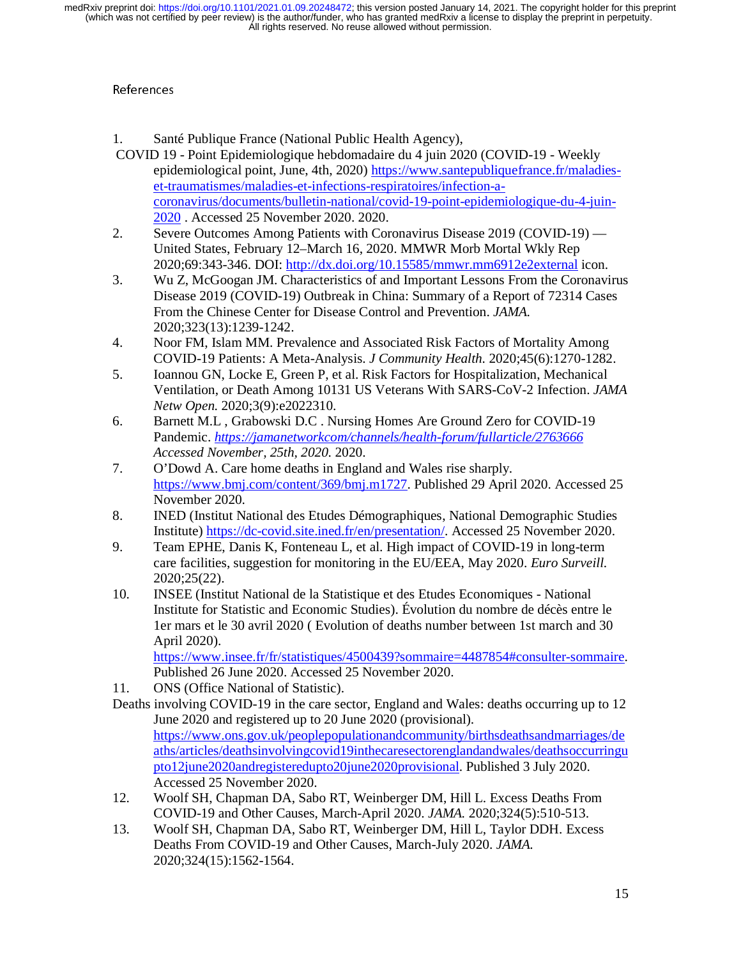- $\frac{1}{2}$ 1. Santé Publique France (National Public Health Agency),
- COVID 19 Point Epidemiologique hebdomadaire du 4 juin 2020 (COVID-19 Weekly epidemiological point, June, 4th, 2020) https://www.santepubliquefrance.fr/maladieset-traumatismes/maladies-et-infections-respiratoires/infection-acoronavirus/documents/bulletin-national/covid-19-point-epidemiologique-du-4-juin-2020 . Accessed 25 November 2020. 2020.
- 2. Severe Outcomes Among Patients with Coronavirus Disease 2019 (COVID-19) United States, February 12–March 16, 2020. MMWR Morb Mortal Wkly Rep 2020;69:343-346. DOI: http://dx.doi.org/10.15585/mmwr.mm6912e2external icon.
- 3. Wu Z, McGoogan JM. Characteristics of and Important Lessons From the Coronavirus Disease 2019 (COVID-19) Outbreak in China: Summary of a Report of 72314 Cases From the Chinese Center for Disease Control and Prevention. *JAMA.*  2020;323(13):1239-1242.
- 4. Noor FM, Islam MM. Prevalence and Associated Risk Factors of Mortality Among COVID-19 Patients: A Meta-Analysis. *J Community Health.* 2020;45(6):1270-1282.
- 5. Ioannou GN, Locke E, Green P, et al. Risk Factors for Hospitalization, Mechanical Ventilation, or Death Among 10131 US Veterans With SARS-CoV-2 Infection. *JAMA Netw Open.* 2020;3(9):e2022310.
- 6. Barnett M.L , Grabowski D.C . Nursing Homes Are Ground Zero for COVID-19 Pandemic. *https://jamanetworkcom/channels/health-forum/fullarticle/2763666 Accessed November, 25th, 2020.* 2020.
- 7. O'Dowd A. Care home deaths in England and Wales rise sharply. https://www.bmj.com/content/369/bmj.m1727. Published 29 April 2020. Accessed 25 November 2020.
- 8. INED (Institut National des Etudes Démographiques, National Demographic Studies Institute) https://dc-covid.site.ined.fr/en/presentation/. Accessed 25 November 2020.
- 9. Team EPHE, Danis K, Fonteneau L, et al. High impact of COVID-19 in long-term care facilities, suggestion for monitoring in the EU/EEA, May 2020. *Euro Surveill.*  2020;25(22).
- 10. INSEE (Institut National de la Statistique et des Etudes Economiques National Institute for Statistic and Economic Studies). Évolution du nombre de décès entre le 1er mars et le 30 avril 2020 ( Evolution of deaths number between 1st march and 30 April 2020).

https://www.insee.fr/fr/statistiques/4500439?sommaire=4487854#consulter-sommaire. Published 26 June 2020. Accessed 25 November 2020.

- 11. ONS (Office National of Statistic).
- Deaths involving COVID-19 in the care sector, England and Wales: deaths occurring up to 12 June 2020 and registered up to 20 June 2020 (provisional). https://www.ons.gov.uk/peoplepopulationandcommunity/birthsdeathsandmarriages/de aths/articles/deathsinvolvingcovid19inthecaresectorenglandandwales/deathsoccurringu pto12june2020andregisteredupto20june2020provisional. Published 3 July 2020. Accessed 25 November 2020.
- 12. Woolf SH, Chapman DA, Sabo RT, Weinberger DM, Hill L. Excess Deaths From COVID-19 and Other Causes, March-April 2020. *JAMA.* 2020;324(5):510-513.
- 13. Woolf SH, Chapman DA, Sabo RT, Weinberger DM, Hill L, Taylor DDH. Excess Deaths From COVID-19 and Other Causes, March-July 2020. *JAMA.*  2020;324(15):1562-1564.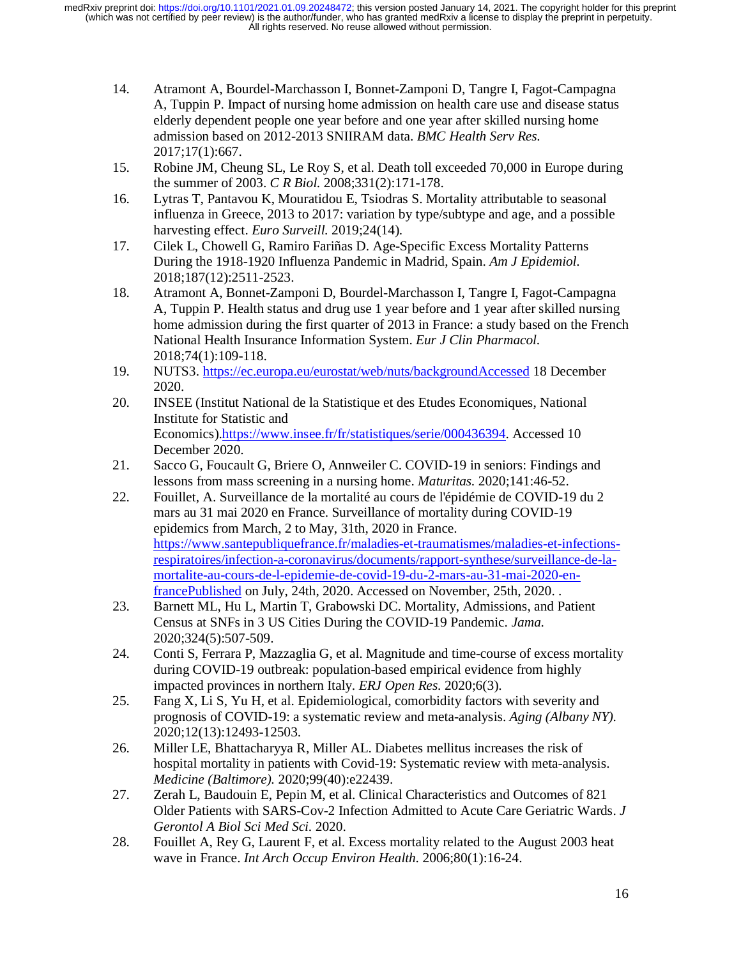- 14. Atramont A, Bourdel-Marchasson I, Bonnet-Zamponi D, Tangre I, Fagot-Campagna A, Tuppin P. Impact of nursing home admission on health care use and disease status elderly dependent people one year before and one year after skilled nursing home admission based on 2012-2013 SNIIRAM data. *BMC Health Serv Res.*  2017;17(1):667.
- 15. Robine JM, Cheung SL, Le Roy S, et al. Death toll exceeded 70,000 in Europe during the summer of 2003. *C R Biol.* 2008;331(2):171-178.
- 16. Lytras T, Pantavou K, Mouratidou E, Tsiodras S. Mortality attributable to seasonal influenza in Greece, 2013 to 2017: variation by type/subtype and age, and a possible harvesting effect. *Euro Surveill.* 2019;24(14).
- 17. Cilek L, Chowell G, Ramiro Fariñas D. Age-Specific Excess Mortality Patterns During the 1918-1920 Influenza Pandemic in Madrid, Spain. *Am J Epidemiol.*  2018;187(12):2511-2523.
- 18. Atramont A, Bonnet-Zamponi D, Bourdel-Marchasson I, Tangre I, Fagot-Campagna A, Tuppin P. Health status and drug use 1 year before and 1 year after skilled nursing home admission during the first quarter of 2013 in France: a study based on the French National Health Insurance Information System. *Eur J Clin Pharmacol.*  2018;74(1):109-118.
- 19. NUTS3. https://ec.europa.eu/eurostat/web/nuts/backgroundAccessed 18 December 2020.
- 20. INSEE (Institut National de la Statistique et des Etudes Economiques, National Institute for Statistic and Economics).https://www.insee.fr/fr/statistiques/serie/000436394. Accessed 10 December 2020.
- 21. Sacco G, Foucault G, Briere O, Annweiler C. COVID-19 in seniors: Findings and lessons from mass screening in a nursing home. *Maturitas.* 2020;141:46-52.
- 22. Fouillet, A. Surveillance de la mortalité au cours de l'épidémie de COVID-19 du 2 mars au 31 mai 2020 en France. Surveillance of mortality during COVID-19 epidemics from March, 2 to May, 31th, 2020 in France. https://www.santepubliquefrance.fr/maladies-et-traumatismes/maladies-et-infectionsrespiratoires/infection-a-coronavirus/documents/rapport-synthese/surveillance-de-lamortalite-au-cours-de-l-epidemie-de-covid-19-du-2-mars-au-31-mai-2020-enfrancePublished on July, 24th, 2020. Accessed on November, 25th, 2020. .
- 23. Barnett ML, Hu L, Martin T, Grabowski DC. Mortality, Admissions, and Patient Census at SNFs in 3 US Cities During the COVID-19 Pandemic. *Jama.*  2020;324(5):507-509.
- 24. Conti S, Ferrara P, Mazzaglia G, et al. Magnitude and time-course of excess mortality during COVID-19 outbreak: population-based empirical evidence from highly impacted provinces in northern Italy. *ERJ Open Res.* 2020;6(3).
- 25. Fang X, Li S, Yu H, et al. Epidemiological, comorbidity factors with severity and prognosis of COVID-19: a systematic review and meta-analysis. *Aging (Albany NY).*  2020;12(13):12493-12503.
- 26. Miller LE, Bhattacharyya R, Miller AL. Diabetes mellitus increases the risk of hospital mortality in patients with Covid-19: Systematic review with meta-analysis. *Medicine (Baltimore).* 2020;99(40):e22439.
- 27. Zerah L, Baudouin E, Pepin M, et al. Clinical Characteristics and Outcomes of 821 Older Patients with SARS-Cov-2 Infection Admitted to Acute Care Geriatric Wards. *J Gerontol A Biol Sci Med Sci.* 2020.
- 28. Fouillet A, Rey G, Laurent F, et al. Excess mortality related to the August 2003 heat wave in France. *Int Arch Occup Environ Health.* 2006;80(1):16-24.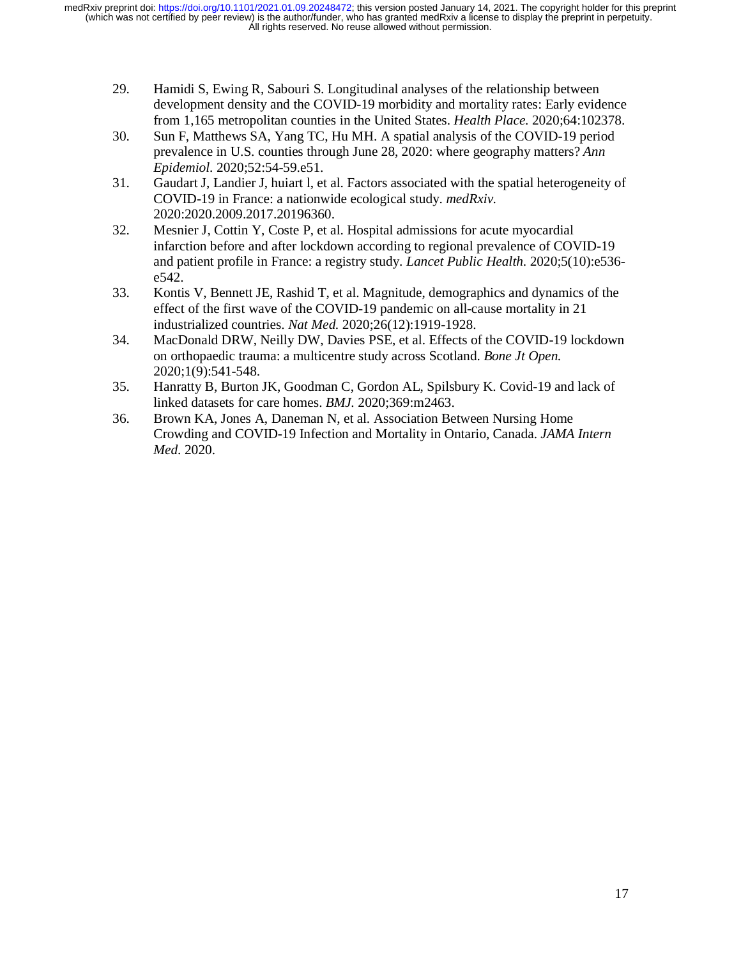- 29. Hamidi S, Ewing R, Sabouri S. Longitudinal analyses of the relationship between development density and the COVID-19 morbidity and mortality rates: Early evidence from 1,165 metropolitan counties in the United States. *Health Place.* 2020;64:102378.
- 30. Sun F, Matthews SA, Yang TC, Hu MH. A spatial analysis of the COVID-19 period prevalence in U.S. counties through June 28, 2020: where geography matters? *Ann Epidemiol.* 2020;52:54-59.e51.
- 31. Gaudart J, Landier J, huiart l, et al. Factors associated with the spatial heterogeneity of COVID-19 in France: a nationwide ecological study. *medRxiv.*  2020:2020.2009.2017.20196360.
- 32. Mesnier J, Cottin Y, Coste P, et al. Hospital admissions for acute myocardial infarction before and after lockdown according to regional prevalence of COVID-19 and patient profile in France: a registry study. *Lancet Public Health.* 2020;5(10):e536 e542.
- 33. Kontis V, Bennett JE, Rashid T, et al. Magnitude, demographics and dynamics of the effect of the first wave of the COVID-19 pandemic on all-cause mortality in 21 industrialized countries. *Nat Med.* 2020;26(12):1919-1928.
- 34. MacDonald DRW, Neilly DW, Davies PSE, et al. Effects of the COVID-19 lockdown on orthopaedic trauma: a multicentre study across Scotland. *Bone Jt Open.*  2020;1(9):541-548.
- 35. Hanratty B, Burton JK, Goodman C, Gordon AL, Spilsbury K. Covid-19 and lack of linked datasets for care homes. *BMJ.* 2020;369:m2463.
- 36. Brown KA, Jones A, Daneman N, et al. Association Between Nursing Home Crowding and COVID-19 Infection and Mortality in Ontario, Canada. *JAMA Intern Med.* 2020.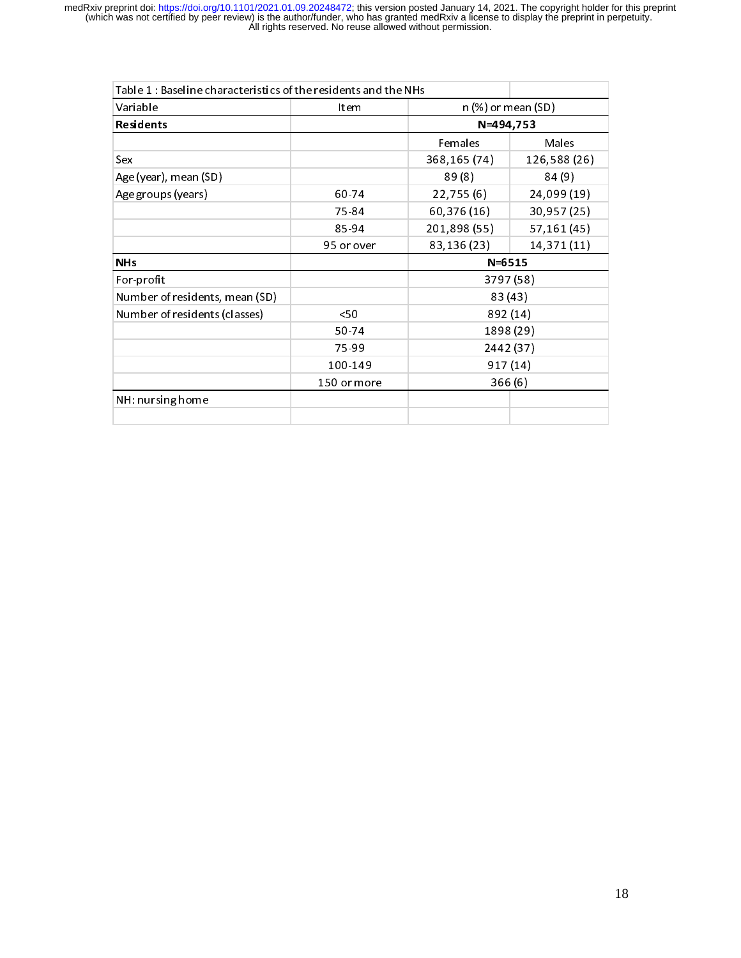| Table 1: Baseline characteristics of the residents and the NHs |             |                                    |                    |  |
|----------------------------------------------------------------|-------------|------------------------------------|--------------------|--|
| Variable                                                       | Item        |                                    | n (%) or mean (SD) |  |
| Residents                                                      |             | N=494,753                          |                    |  |
|                                                                |             | Females                            | Males              |  |
| Sex                                                            |             | 368,165 (74)                       | 126,588 (26)       |  |
| Age (year), mean (SD)                                          |             | 89(8)                              | 84 (9)             |  |
| Age groups (years)                                             | 60-74       | 22,755(6)                          | 24,099 (19)        |  |
|                                                                | 75 84       | 60,376 (16)                        | 30,957 (25)        |  |
|                                                                | 85-94       | 201,898 (55)                       | 57,161 (45)        |  |
|                                                                | 95 or over  | 83,136 (23)                        | 14,371(11)         |  |
| <b>NH<sub>s</sub></b>                                          |             | $N = 6515$                         |                    |  |
| For-profit                                                     |             | 3797 (58)                          |                    |  |
| Number of residents, mean (SD)                                 |             | 83 (43)                            |                    |  |
| Number of residents (classes)                                  | 50<         | 892 (14)<br>1898 (29)<br>2442 (37) |                    |  |
|                                                                | 50-74       |                                    |                    |  |
|                                                                | 75-99       |                                    |                    |  |
|                                                                | 100-149     | 917 (14)                           |                    |  |
|                                                                | 150 or more | 366(6)                             |                    |  |
| NH: nursing home                                               |             |                                    |                    |  |
|                                                                |             |                                    |                    |  |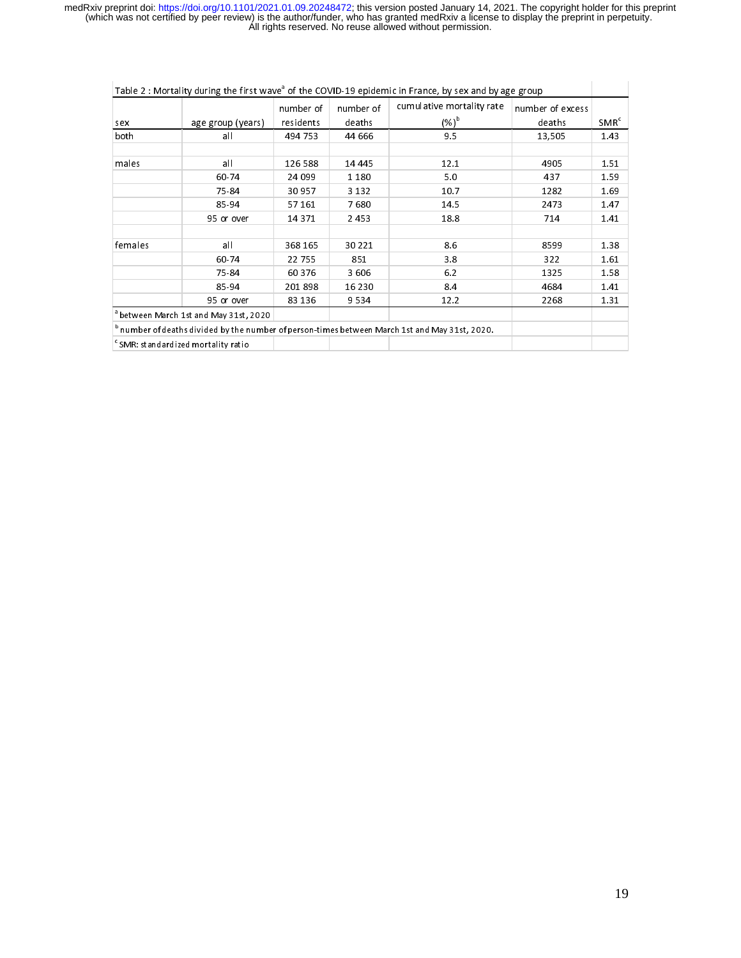| Table 2 : Mortality during the first wave <sup>3</sup> of the COVID-19 epidemic in France, by sex and by age group |                                                   |                        |                     |                                                                                                         |                            |                  |
|--------------------------------------------------------------------------------------------------------------------|---------------------------------------------------|------------------------|---------------------|---------------------------------------------------------------------------------------------------------|----------------------------|------------------|
| sex                                                                                                                | age group (years)                                 | number of<br>residents | number of<br>deaths | cumulative mortality rate<br>$(%)^{\rm b}$                                                              | number of excess<br>deaths | SMR <sup>c</sup> |
| both                                                                                                               | all                                               | 494 753                | 44 666              | 9.5                                                                                                     | 13,505                     | 1.43             |
|                                                                                                                    |                                                   |                        |                     |                                                                                                         |                            |                  |
| males                                                                                                              | $a$ II                                            | 126 588                | 14 44 5             | 12.1                                                                                                    | 4905                       | 1.51             |
|                                                                                                                    | 60-74                                             | 24 099                 | 1 1 8 0             | 5.0                                                                                                     | 437                        | 1.59             |
| 75-84<br>85-94                                                                                                     |                                                   | 30 957                 | 3 1 3 2             | 10.7                                                                                                    | 1282                       | 1.69             |
|                                                                                                                    |                                                   | 57 161                 | 7680                | 14.5                                                                                                    | 2473                       | 1.47             |
|                                                                                                                    | 95 or over                                        | 14 371                 | 2453                | 18.8                                                                                                    | 714                        | 1.41             |
|                                                                                                                    |                                                   |                        |                     |                                                                                                         |                            |                  |
| $a$ II<br>females<br>60-74<br>75-84<br>85-94<br>95 or over                                                         |                                                   | 368 165                | 30 22 1             | 8.6                                                                                                     | 8599                       | 1.38             |
|                                                                                                                    |                                                   | 22 755                 | 851                 | 3.8                                                                                                     | 322                        | 1.61             |
|                                                                                                                    |                                                   | 60 376                 | 3606                | 6.2                                                                                                     | 1325                       | 1.58             |
|                                                                                                                    |                                                   | 201898                 | 16 2 30             | 8.4                                                                                                     | 4684                       | 1.41             |
|                                                                                                                    |                                                   | 83 136                 | 9534                | 12.2                                                                                                    | 2268                       | 1.31             |
|                                                                                                                    | <sup>a</sup> between March 1st and May 31st, 2020 |                        |                     |                                                                                                         |                            |                  |
|                                                                                                                    |                                                   |                        |                     | $^{\rm b}$ number of deaths divided by the number of person-times between March 1st and May 31st, 2020. |                            |                  |
|                                                                                                                    | $\degree$ SMR: standardized mortality ratio       |                        |                     |                                                                                                         |                            |                  |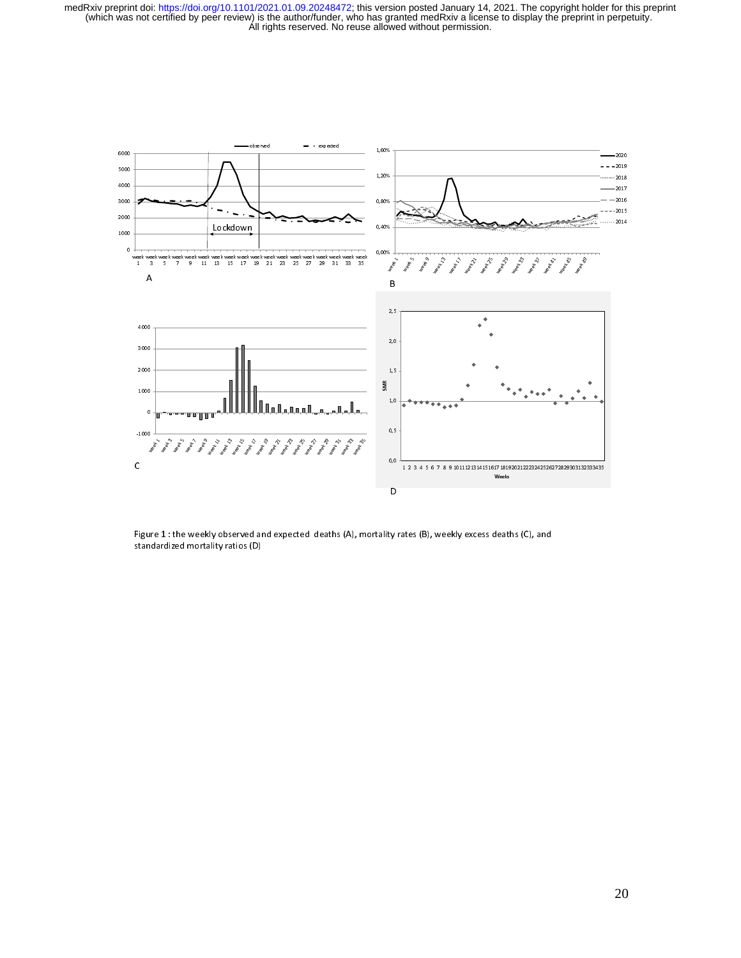

Figure 1 : the weekly observed and expected deaths (A), mortality rates (B), weekly excess deaths (C), and standardized mortality ratios (D)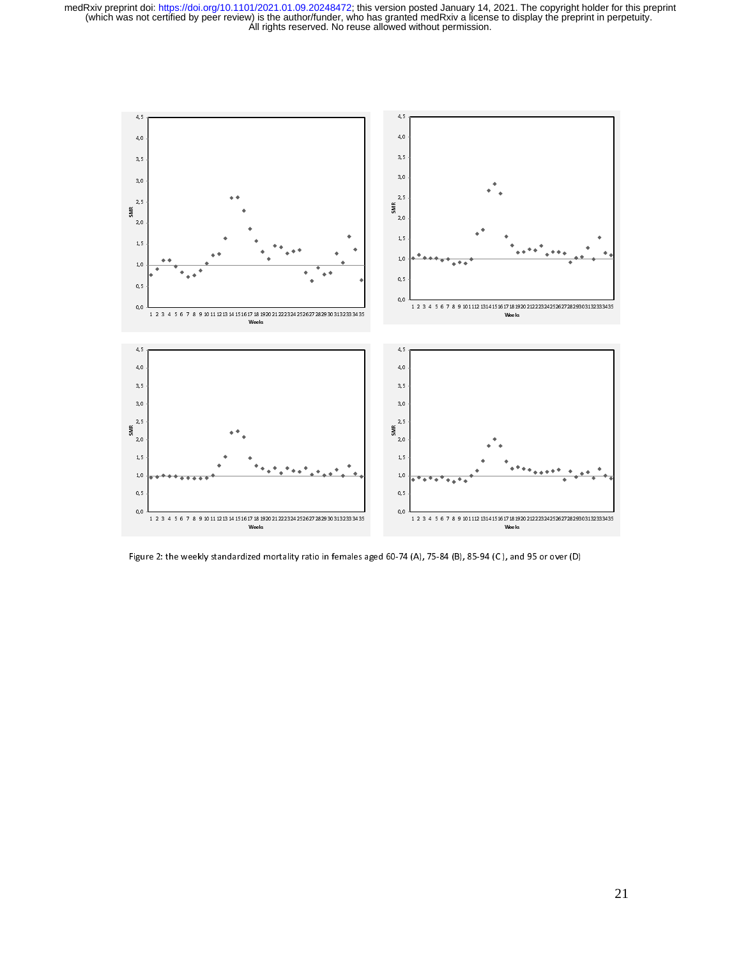

Figure 2: the weekly standardized mortality ratio in females aged 60-74 (A), 75-84 (B), 85-94 (C ), and 95 or over (D)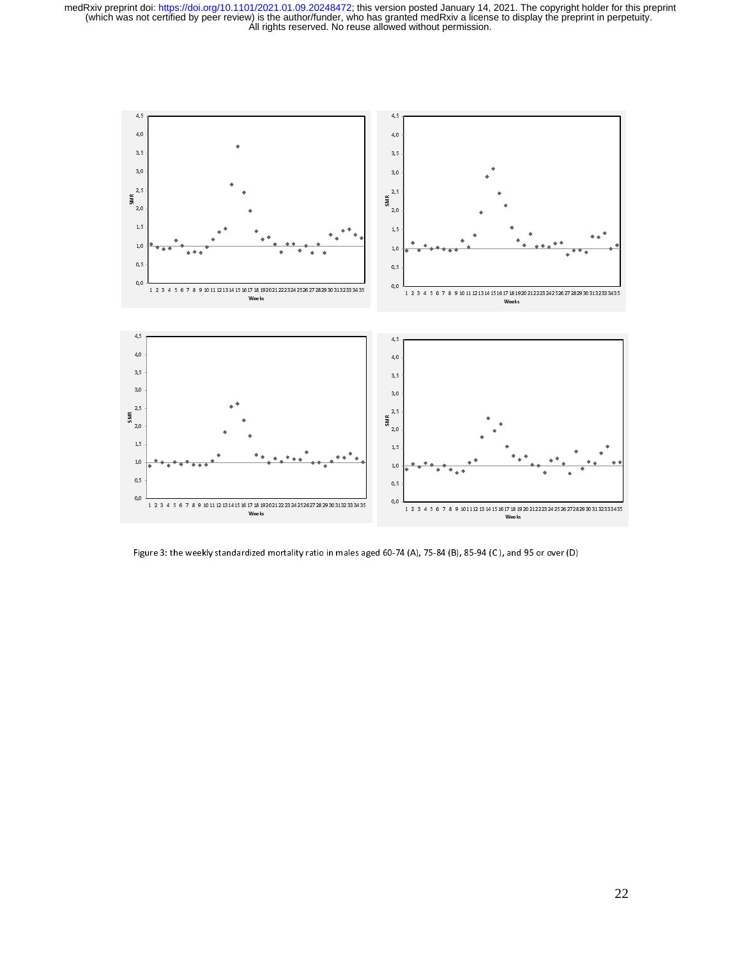

Figure 3: the weekly standardized mortality ratio in males aged 60-74 (A), 75-84 (B), 85-94 (C ), and 95 or over (D)